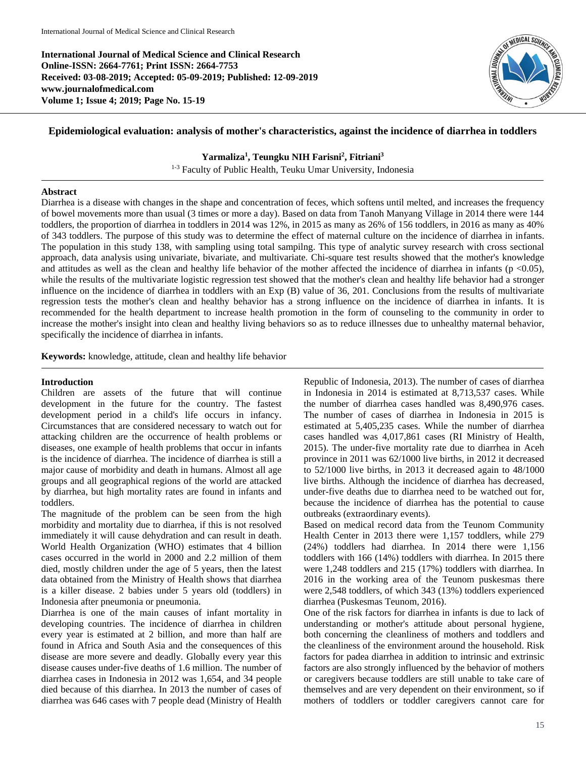**International Journal of Medical Science and Clinical Research Online-ISSN: 2664-7761; Print ISSN: 2664-7753 Received: 03-08-2019; Accepted: 05-09-2019; Published: 12-09-2019 www.journalofmedical.com Volume 1; Issue 4; 2019; Page No. 15-19**



# **Epidemiological evaluation: analysis of mother's characteristics, against the incidence of diarrhea in toddlers**

## **Yarmaliza<sup>1</sup> , Teungku NIH Farisni<sup>2</sup> , Fitriani<sup>3</sup>**

1-3 Faculty of Public Health, Teuku Umar University, Indonesia

### **Abstract**

Diarrhea is a disease with changes in the shape and concentration of feces, which softens until melted, and increases the frequency of bowel movements more than usual (3 times or more a day). Based on data from Tanoh Manyang Village in 2014 there were 144 toddlers, the proportion of diarrhea in toddlers in 2014 was 12%, in 2015 as many as 26% of 156 toddlers, in 2016 as many as 40% of 343 toddlers. The purpose of this study was to determine the effect of maternal culture on the incidence of diarrhea in infants. The population in this study 138, with sampling using total sampilng. This type of analytic survey research with cross sectional approach, data analysis using univariate, bivariate, and multivariate. Chi-square test results showed that the mother's knowledge and attitudes as well as the clean and healthy life behavior of the mother affected the incidence of diarrhea in infants ( $p$  <0.05), while the results of the multivariate logistic regression test showed that the mother's clean and healthy life behavior had a stronger influence on the incidence of diarrhea in toddlers with an Exp (B) value of 36, 201. Conclusions from the results of multivariate regression tests the mother's clean and healthy behavior has a strong influence on the incidence of diarrhea in infants. It is recommended for the health department to increase health promotion in the form of counseling to the community in order to increase the mother's insight into clean and healthy living behaviors so as to reduce illnesses due to unhealthy maternal behavior, specifically the incidence of diarrhea in infants.

**Keywords:** knowledge, attitude, clean and healthy life behavior

### **Introduction**

Children are assets of the future that will continue development in the future for the country. The fastest development period in a child's life occurs in infancy. Circumstances that are considered necessary to watch out for attacking children are the occurrence of health problems or diseases, one example of health problems that occur in infants is the incidence of diarrhea. The incidence of diarrhea is still a major cause of morbidity and death in humans. Almost all age groups and all geographical regions of the world are attacked by diarrhea, but high mortality rates are found in infants and toddlers.

The magnitude of the problem can be seen from the high morbidity and mortality due to diarrhea, if this is not resolved immediately it will cause dehydration and can result in death. World Health Organization (WHO) estimates that 4 billion cases occurred in the world in 2000 and 2.2 million of them died, mostly children under the age of 5 years, then the latest data obtained from the Ministry of Health shows that diarrhea is a killer disease. 2 babies under 5 years old (toddlers) in Indonesia after pneumonia or pneumonia.

Diarrhea is one of the main causes of infant mortality in developing countries. The incidence of diarrhea in children every year is estimated at 2 billion, and more than half are found in Africa and South Asia and the consequences of this disease are more severe and deadly. Globally every year this disease causes under-five deaths of 1.6 million. The number of diarrhea cases in Indonesia in 2012 was 1,654, and 34 people died because of this diarrhea. In 2013 the number of cases of diarrhea was 646 cases with 7 people dead (Ministry of Health Republic of Indonesia, 2013). The number of cases of diarrhea in Indonesia in 2014 is estimated at 8,713,537 cases. While the number of diarrhea cases handled was 8,490,976 cases. The number of cases of diarrhea in Indonesia in 2015 is estimated at 5,405,235 cases. While the number of diarrhea cases handled was 4,017,861 cases (RI Ministry of Health, 2015). The under-five mortality rate due to diarrhea in Aceh province in 2011 was 62/1000 live births, in 2012 it decreased to 52/1000 live births, in 2013 it decreased again to 48/1000 live births. Although the incidence of diarrhea has decreased, under-five deaths due to diarrhea need to be watched out for, because the incidence of diarrhea has the potential to cause outbreaks (extraordinary events).

Based on medical record data from the Teunom Community Health Center in 2013 there were 1,157 toddlers, while 279 (24%) toddlers had diarrhea. In 2014 there were 1,156 toddlers with 166 (14%) toddlers with diarrhea. In 2015 there were 1,248 toddlers and 215 (17%) toddlers with diarrhea. In 2016 in the working area of the Teunom puskesmas there were 2,548 toddlers, of which 343 (13%) toddlers experienced diarrhea (Puskesmas Teunom, 2016).

One of the risk factors for diarrhea in infants is due to lack of understanding or mother's attitude about personal hygiene, both concerning the cleanliness of mothers and toddlers and the cleanliness of the environment around the household. Risk factors for padea diarrhea in addition to intrinsic and extrinsic factors are also strongly influenced by the behavior of mothers or caregivers because toddlers are still unable to take care of themselves and are very dependent on their environment, so if mothers of toddlers or toddler caregivers cannot care for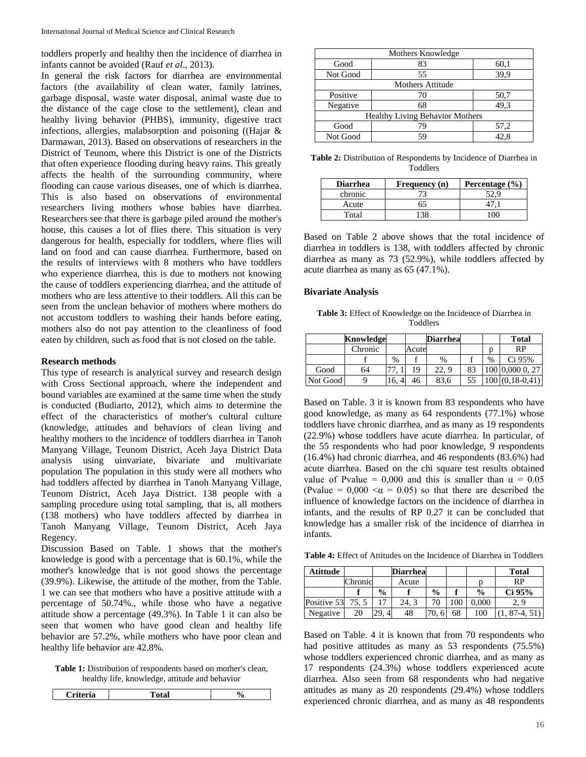toddlers properly and healthy then the incidence of diarrhea in infants cannot be avoided (Rauf *et al*., 2013).

In general the risk factors for diarrhea are environmental factors (the availability of clean water, family latrines, garbage disposal, waste water disposal, animal waste due to the distance of the cage close to the settlement), clean and healthy living behavior (PHBS), immunity, digestive tract infections, allergies, malabsorption and poisoning ((Hajar & Darmawan, 2013). Based on observations of researchers in the District of Teunom, where this District is one of the Districts that often experience flooding during heavy rains. This greatly affects the health of the surrounding community, where flooding can cause various diseases, one of which is diarrhea. This is also based on observations of environmental researchers living mothers whose babies have diarrhea. Researchers see that there is garbage piled around the mother's house, this causes a lot of flies there. This situation is very dangerous for health, especially for toddlers, where flies will land on food and can cause diarrhea. Furthermore, based on the results of interviews with 8 mothers who have toddlers who experience diarrhea, this is due to mothers not knowing the cause of toddlers experiencing diarrhea, and the attitude of mothers who are less attentive to their toddlers. All this can be seen from the unclean behavior of mothers where mothers do not accustom toddlers to washing their hands before eating, mothers also do not pay attention to the cleanliness of food eaten by children, such as food that is not closed on the table.

#### **Research methods**

This type of research is analytical survey and research design with Cross Sectional approach, where the independent and bound variables are examined at the same time when the study is conducted (Budiarto, 2012), which aims to determine the effect of the characteristics of mother's cultural culture (knowledge, attitudes and behaviors of clean living and healthy mothers to the incidence of toddlers diarrhea in Tanoh Manyang Village, Teunom District, Aceh Jaya District Data analysis using uinvariate, bivariate and multivariate population The population in this study were all mothers who had toddlers affected by diarrhea in Tanoh Manyang Village, Teunom District, Aceh Jaya District. 138 people with a sampling procedure using total sampling, that is, all mothers (138 mothers) who have toddlers affected by diarrhea in Tanoh Manyang Village, Teunom District, Aceh Jaya Regency.

Discussion Based on Table. 1 shows that the mother's knowledge is good with a percentage that is 60.1%, while the mother's knowledge that is not good shows the percentage (39.9%). Likewise, the attitude of the mother, from the Table. 1 we can see that mothers who have a positive attitude with a percentage of 50.74%., while those who have a negative attitude show a percentage (49.3%). In Table 1 it can also be seen that women who have good clean and healthy life behavior are 57.2%, while mothers who have poor clean and healthy life behavior are 42.8%.

**Table 1:** Distribution of respondents based on mother's clean, healthy life, knowledge, attitude and behavior

| *eria -<br>221<br>---- - | $- - - -$ | ∕ u |
|--------------------------|-----------|-----|
|                          |           |     |

|                                        | Mothers Knowledge       |      |  |  |  |  |  |
|----------------------------------------|-------------------------|------|--|--|--|--|--|
| Good                                   | 83                      | 60,1 |  |  |  |  |  |
| Not Good                               | 55                      | 39,9 |  |  |  |  |  |
|                                        | <b>Mothers Attitude</b> |      |  |  |  |  |  |
| Positive                               | 70                      | 50,7 |  |  |  |  |  |
| Negative                               | 68                      | 49.3 |  |  |  |  |  |
| <b>Healthy Living Behavior Mothers</b> |                         |      |  |  |  |  |  |
| Good                                   | 79                      | 57,2 |  |  |  |  |  |
| Not Good                               | 59                      |      |  |  |  |  |  |

**Table 2:** Distribution of Respondents by Incidence of Diarrhea in Toddlers

| <b>Diarrhea</b> | Frequency (n) | Percentage $(\% )$ |
|-----------------|---------------|--------------------|
| chronic         |               |                    |
| Acute           | h.            |                    |
| Total           |               |                    |

Based on Table 2 above shows that the total incidence of diarrhea in toddlers is 138, with toddlers affected by chronic diarrhea as many as 73 (52.9%), while toddlers affected by acute diarrhea as many as 65 (47.1%).

#### **Bivariate Analysis**

**Table 3:** Effect of Knowledge on the Incidence of Diarrhea in Toddlers

|          | Knowledge |      |       | <b>Diarrhea</b> |    |      | <b>Total</b>    |
|----------|-----------|------|-------|-----------------|----|------|-----------------|
|          | Chronic   |      | Acute |                 |    |      | RP              |
|          |           | $\%$ |       | $\%$            |    | $\%$ | Ci 95%          |
| Good     | 64        |      | 19    | 22, 9           | 83 |      | 100 0,000 0, 27 |
| Not Good |           | 10.  | 46    | 83,6            | 55 |      | $(0,18-0,41)$   |

Based on Table. 3 it is known from 83 respondents who have good knowledge, as many as 64 respondents (77.1%) whose toddlers have chronic diarrhea, and as many as 19 respondents (22.9%) whose toddlers have acute diarrhea. In particular, of the 55 respondents who had poor knowledge, 9 respondents (16.4%) had chronic diarrhea, and 46 respondents (83.6%) had acute diarrhea. Based on the chi square test results obtained value of Pvalue = 0,000 and this is smaller than  $\alpha = 0.05$ (Pvalue =  $0.000 \le \alpha$  = 0.05) so that there are described the influence of knowledge factors on the incidence of diarrhea in infants, and the results of RP 0.27 it can be concluded that knowledge has a smaller risk of the incidence of diarrhea in infants.

**Table 4:** Effect of Attitudes on the Incidence of Diarrhea in Toddlers

| Atittude          |         |                | Diarrhea |               |     |               | <b>Total</b> |
|-------------------|---------|----------------|----------|---------------|-----|---------------|--------------|
|                   | Chronic |                | Acute    |               |     |               | RP           |
|                   |         | $\frac{0}{0}$  |          | $\frac{0}{0}$ |     | $\frac{0}{0}$ | Ci 95%       |
| Positive 53 75, 5 |         |                | 24. 3    |               | 100 | 0.000         | 2.9          |
| Negative          | 20      | $\overline{4}$ | 48       |               | 68  | 100           | $87-4, 51$   |

Based on Table. 4 it is known that from 70 respondents who had positive attitudes as many as 53 respondents (75.5%) whose toddlers experienced chronic diarrhea, and as many as 17 respondents (24.3%) whose toddlers experienced acute diarrhea. Also seen from 68 respondents who had negative attitudes as many as 20 respondents (29.4%) whose toddlers experienced chronic diarrhea, and as many as 48 respondents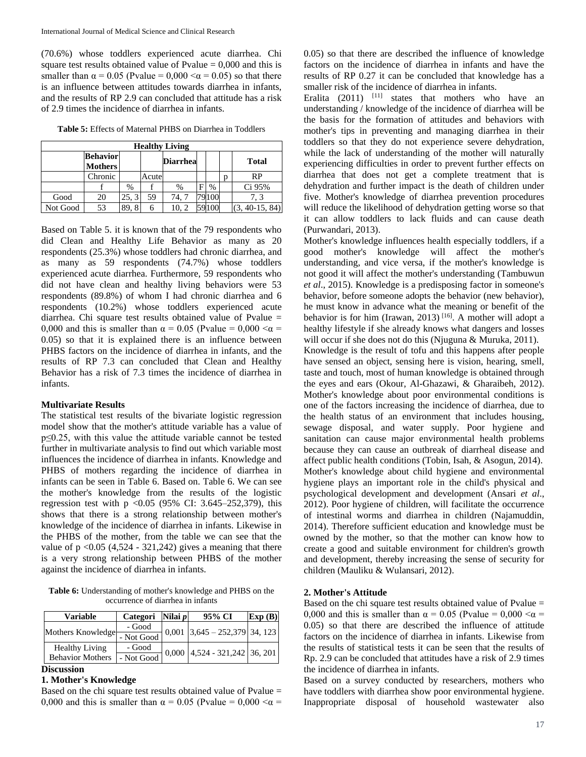(70.6%) whose toddlers experienced acute diarrhea. Chi square test results obtained value of Pvalue  $= 0,000$  and this is smaller than  $\alpha = 0.05$  (Pvalue = 0.000  $\alpha = 0.05$ ) so that there is an influence between attitudes towards diarrhea in infants, and the results of RP 2.9 can concluded that attitude has a risk of 2.9 times the incidence of diarrhea in infants.

**Table 5:** Effects of Maternal PHBS on Diarrhea in Toddlers

| <b>Healthy Living</b> |                                   |       |       |                 |   |       |  |                  |
|-----------------------|-----------------------------------|-------|-------|-----------------|---|-------|--|------------------|
|                       | <b>Behavior</b><br><b>Mothers</b> |       |       | <b>Diarrhea</b> |   |       |  | <b>Total</b>     |
|                       | Chronic                           |       | Acute |                 |   |       |  | RP               |
|                       |                                   | %     |       | $\%$            | E | %     |  | Ci 95%           |
| Good                  | 20                                | 25, 3 | 59    | 74.7            |   | '9100 |  | 7.3              |
| Not Good              | 53                                | 89.   | 6     | 10, 2           |   |       |  | $(3, 40-15, 84)$ |

Based on Table 5. it is known that of the 79 respondents who did Clean and Healthy Life Behavior as many as 20 respondents (25.3%) whose toddlers had chronic diarrhea, and as many as 59 respondents (74.7%) whose toddlers experienced acute diarrhea. Furthermore, 59 respondents who did not have clean and healthy living behaviors were 53 respondents (89.8%) of whom I had chronic diarrhea and 6 respondents (10.2%) whose toddlers experienced acute diarrhea. Chi square test results obtained value of Pvalue = 0,000 and this is smaller than  $\alpha = 0.05$  (Pvalue = 0,000  $\alpha$  = 0.05) so that it is explained there is an influence between PHBS factors on the incidence of diarrhea in infants, and the results of RP 7.3 can concluded that Clean and Healthy Behavior has a risk of 7.3 times the incidence of diarrhea in infants.

### **Multivariate Results**

The statistical test results of the bivariate logistic regression model show that the mother's attitude variable has a value of p≤0.25, with this value the attitude variable cannot be tested further in multivariate analysis to find out which variable most influences the incidence of diarrhea in infants. Knowledge and PHBS of mothers regarding the incidence of diarrhea in infants can be seen in Table 6. Based on. Table 6. We can see the mother's knowledge from the results of the logistic regression test with p <0.05 (95% CI: 3.645–252,379), this shows that there is a strong relationship between mother's knowledge of the incidence of diarrhea in infants. Likewise in the PHBS of the mother, from the table we can see that the value of  $p \le 0.05$  (4,524 - 321,242) gives a meaning that there is a very strong relationship between PHBS of the mother against the incidence of diarrhea in infants.

**Table 6:** Understanding of mother's knowledge and PHBS on the occurrence of diarrhea in infants

| <b>Variable</b>         | Categori Nilai p |       | 95% CI                    | Exp(B) |  |
|-------------------------|------------------|-------|---------------------------|--------|--|
| Mothers Knowledge       | - Good           | 0,001 | $3,645 - 252,379$ 34, 123 |        |  |
|                         | - Not Good       |       |                           |        |  |
| <b>Healthy Living</b>   | - Good           | 0,000 | 4,524 - 321,242 36, 201   |        |  |
| <b>Behavior Mothers</b> | - Not Good       |       |                           |        |  |

### **Discussion**

### **1. Mother's Knowledge**

Based on the chi square test results obtained value of Pvalue  $=$ 0,000 and this is smaller than  $\alpha = 0.05$  (Pvalue = 0,000  $\alpha$  =

0.05) so that there are described the influence of knowledge factors on the incidence of diarrhea in infants and have the results of RP 0.27 it can be concluded that knowledge has a smaller risk of the incidence of diarrhea in infants.

Eralita  $(2011)$   $[11]$  states that mothers who have an understanding / knowledge of the incidence of diarrhea will be the basis for the formation of attitudes and behaviors with mother's tips in preventing and managing diarrhea in their toddlers so that they do not experience severe dehydration, while the lack of understanding of the mother will naturally experiencing difficulties in order to prevent further effects on diarrhea that does not get a complete treatment that is dehydration and further impact is the death of children under five. Mother's knowledge of diarrhea prevention procedures will reduce the likelihood of dehydration getting worse so that it can allow toddlers to lack fluids and can cause death (Purwandari, 2013).

Mother's knowledge influences health especially toddlers, if a good mother's knowledge will affect the mother's understanding, and vice versa, if the mother's knowledge is not good it will affect the mother's understanding (Tambuwun *et al*., 2015). Knowledge is a predisposing factor in someone's behavior, before someone adopts the behavior (new behavior), he must know in advance what the meaning or benefit of the behavior is for him (Irawan, 2013)<sup>[16]</sup>. A mother will adopt a healthy lifestyle if she already knows what dangers and losses will occur if she does not do this (Njuguna & Muruka, 2011).

Knowledge is the result of tofu and this happens after people have sensed an object, sensing here is vision, hearing, smell, taste and touch, most of human knowledge is obtained through the eyes and ears (Okour, Al-Ghazawi, & Gharaibeh, 2012). Mother's knowledge about poor environmental conditions is one of the factors increasing the incidence of diarrhea, due to the health status of an environment that includes housing, sewage disposal, and water supply. Poor hygiene and sanitation can cause major environmental health problems because they can cause an outbreak of diarrheal disease and affect public health conditions (Tobin, Isah, & Asogun, 2014). Mother's knowledge about child hygiene and environmental hygiene plays an important role in the child's physical and psychological development and development (Ansari *et al*., 2012). Poor hygiene of children, will facilitate the occurrence of intestinal worms and diarrhea in children (Najamuddin, 2014). Therefore sufficient education and knowledge must be owned by the mother, so that the mother can know how to create a good and suitable environment for children's growth and development, thereby increasing the sense of security for children (Mauliku & Wulansari, 2012).

#### **2. Mother's Attitude**

Based on the chi square test results obtained value of Pvalue = 0,000 and this is smaller than  $\alpha = 0.05$  (Pvalue = 0,000  $\alpha$  = 0.05) so that there are described the influence of attitude factors on the incidence of diarrhea in infants. Likewise from the results of statistical tests it can be seen that the results of Rp. 2.9 can be concluded that attitudes have a risk of 2.9 times the incidence of diarrhea in infants.

Based on a survey conducted by researchers, mothers who have toddlers with diarrhea show poor environmental hygiene. Inappropriate disposal of household wastewater also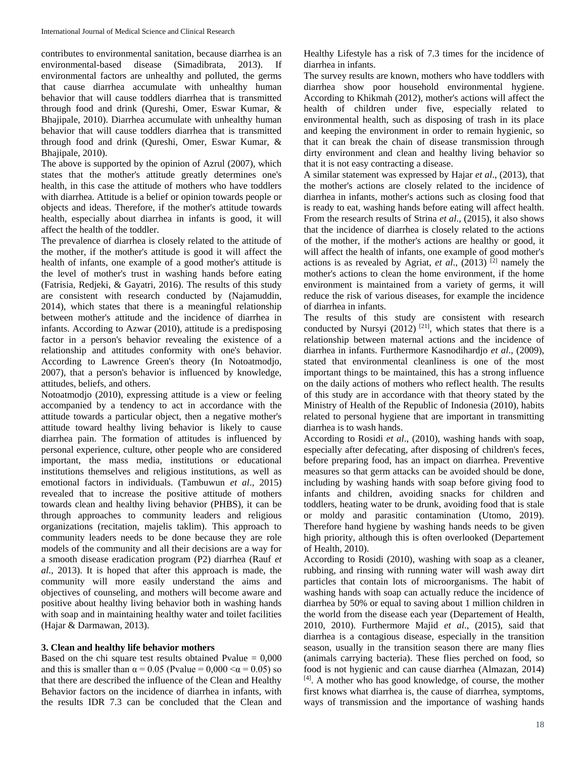contributes to environmental sanitation, because diarrhea is an environmental-based disease (Simadibrata, 2013). If environmental factors are unhealthy and polluted, the germs that cause diarrhea accumulate with unhealthy human behavior that will cause toddlers diarrhea that is transmitted through food and drink (Qureshi, Omer, Eswar Kumar, & Bhajipale, 2010). Diarrhea accumulate with unhealthy human behavior that will cause toddlers diarrhea that is transmitted through food and drink (Qureshi, Omer, Eswar Kumar, & Bhajipale, 2010).

The above is supported by the opinion of Azrul (2007), which states that the mother's attitude greatly determines one's health, in this case the attitude of mothers who have toddlers with diarrhea. Attitude is a belief or opinion towards people or objects and ideas. Therefore, if the mother's attitude towards health, especially about diarrhea in infants is good, it will affect the health of the toddler.

The prevalence of diarrhea is closely related to the attitude of the mother, if the mother's attitude is good it will affect the health of infants, one example of a good mother's attitude is the level of mother's trust in washing hands before eating (Fatrisia, Redjeki, & Gayatri, 2016). The results of this study are consistent with research conducted by (Najamuddin, 2014), which states that there is a meaningful relationship between mother's attitude and the incidence of diarrhea in infants. According to Azwar (2010), attitude is a predisposing factor in a person's behavior revealing the existence of a relationship and attitudes conformity with one's behavior. According to Lawrence Green's theory (In Notoatmodjo, 2007), that a person's behavior is influenced by knowledge, attitudes, beliefs, and others.

Notoatmodjo (2010), expressing attitude is a view or feeling accompanied by a tendency to act in accordance with the attitude towards a particular object, then a negative mother's attitude toward healthy living behavior is likely to cause diarrhea pain. The formation of attitudes is influenced by personal experience, culture, other people who are considered important, the mass media, institutions or educational institutions themselves and religious institutions, as well as emotional factors in individuals. (Tambuwun *et al*., 2015) revealed that to increase the positive attitude of mothers towards clean and healthy living behavior (PHBS), it can be through approaches to community leaders and religious organizations (recitation, majelis taklim). This approach to community leaders needs to be done because they are role models of the community and all their decisions are a way for a smooth disease eradication program (P2) diarrhea (Rauf *et al*., 2013). It is hoped that after this approach is made, the community will more easily understand the aims and objectives of counseling, and mothers will become aware and positive about healthy living behavior both in washing hands with soap and in maintaining healthy water and toilet facilities (Hajar & Darmawan, 2013).

### **3. Clean and healthy life behavior mothers**

Based on the chi square test results obtained Pvalue  $= 0,000$ and this is smaller than  $\alpha = 0.05$  (Pvalue = 0,000  $\alpha = 0.05$ ) so that there are described the influence of the Clean and Healthy Behavior factors on the incidence of diarrhea in infants, with the results IDR 7.3 can be concluded that the Clean and

Healthy Lifestyle has a risk of 7.3 times for the incidence of diarrhea in infants.

The survey results are known, mothers who have toddlers with diarrhea show poor household environmental hygiene. According to Khikmah (2012), mother's actions will affect the health of children under five, especially related to environmental health, such as disposing of trash in its place and keeping the environment in order to remain hygienic, so that it can break the chain of disease transmission through dirty environment and clean and healthy living behavior so that it is not easy contracting a disease.

A similar statement was expressed by Hajar *et al*., (2013), that the mother's actions are closely related to the incidence of diarrhea in infants, mother's actions such as closing food that is ready to eat, washing hands before eating will affect health. From the research results of Strina *et al*., (2015), it also shows that the incidence of diarrhea is closely related to the actions of the mother, if the mother's actions are healthy or good, it will affect the health of infants, one example of good mother's actions is as revealed by Agriat, *et al.*,  $(2013)$ <sup>[2]</sup> namely the mother's actions to clean the home environment, if the home environment is maintained from a variety of germs, it will reduce the risk of various diseases, for example the incidence of diarrhea in infants.

The results of this study are consistent with research conducted by Nursyi  $(2012)$ <sup>[21]</sup>, which states that there is a relationship between maternal actions and the incidence of diarrhea in infants. Furthermore Kasnodihardjo *et al*., (2009), stated that environmental cleanliness is one of the most important things to be maintained, this has a strong influence on the daily actions of mothers who reflect health. The results of this study are in accordance with that theory stated by the Ministry of Health of the Republic of Indonesia (2010), habits related to personal hygiene that are important in transmitting diarrhea is to wash hands.

According to Rosidi *et al*., (2010), washing hands with soap, especially after defecating, after disposing of children's feces, before preparing food, has an impact on diarrhea. Preventive measures so that germ attacks can be avoided should be done, including by washing hands with soap before giving food to infants and children, avoiding snacks for children and toddlers, heating water to be drunk, avoiding food that is stale or moldy and parasitic contamination (Utomo, 2019). Therefore hand hygiene by washing hands needs to be given high priority, although this is often overlooked (Departement of Health, 2010).

According to Rosidi (2010), washing with soap as a cleaner, rubbing, and rinsing with running water will wash away dirt particles that contain lots of microorganisms. The habit of washing hands with soap can actually reduce the incidence of diarrhea by 50% or equal to saving about 1 million children in the world from the disease each year (Departement of Health, 2010, 2010). Furthermore Majid *et al*., (2015), said that diarrhea is a contagious disease, especially in the transition season, usually in the transition season there are many flies (animals carrying bacteria). These flies perched on food, so food is not hygienic and can cause diarrhea (Almazan, 2014) [4]. A mother who has good knowledge, of course, the mother first knows what diarrhea is, the cause of diarrhea, symptoms, ways of transmission and the importance of washing hands